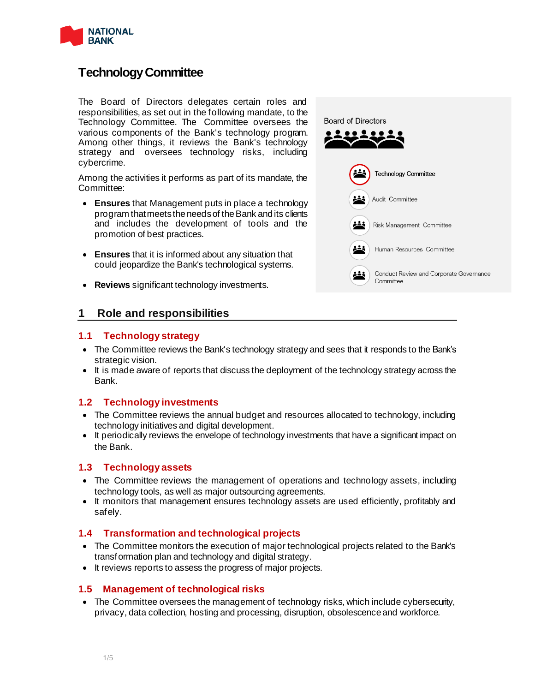

# **Technology Committee**

The Board of Directors delegates certain roles and responsibilities, as set out in the following mandate, to the Technology Committee. The Committee oversees the various components of the Bank's technology program. Among other things, it reviews the Bank's technology strategy and oversees technology risks, including cybercrime.

Among the activities it performs as part of its mandate, the Committee:

- **Ensures** that Management puts in place a technology program that meets the needs of the Bank and its clients and includes the development of tools and the promotion of best practices.
- **Ensures** that it is informed about any situation that could jeopardize the Bank's technological systems.
- **Reviews** significant technology investments.



## **1 Role and responsibilities**

## **1.1 Technology strategy**

- The Committee reviews the Bank's technology strategy and sees that it responds to the Bank's strategic vision.
- It is made aware of reports that discuss the deployment of the technology strategy across the Bank.

## **1.2 Technology investments**

- The Committee reviews the annual budget and resources allocated to technology, including technology initiatives and digital development.
- It periodically reviews the envelope of technology investments that have a significant impact on the Bank.

## **1.3 Technology assets**

- The Committee reviews the management of operations and technology assets, including technology tools, as well as major outsourcing agreements.
- It monitors that management ensures technology assets are used efficiently, profitably and safely.

## **1.4 Transformation and technological projects**

- The Committee monitors the execution of major technological projects related to the Bank's transformation plan and technology and digital strategy.
- It reviews reports to assess the progress of major projects.

## **1.5 Management of technological risks**

• The Committee oversees the management of technology risks, which include cybersecurity, privacy, data collection, hosting and processing, disruption, obsolescence and workforce.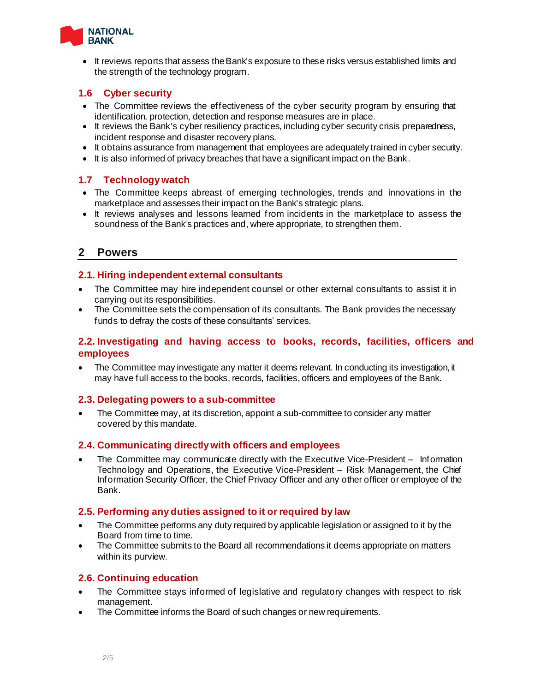

• It reviews reports that assess the Bank's exposure to these risks versus established limits and the strength of the technology program.

## **1.6 Cyber security**

- The Committee reviews the effectiveness of the cyber security program by ensuring that identification, protection, detection and response measures are in place.
- It reviews the Bank's cyber resiliency practices, including cyber security crisis preparedness, incident response and disaster recovery plans.
- It obtains assurance from management that employees are adequately trained in cyber security.
- It is also informed of privacy breaches that have a significant impact on the Bank.

## **1.7 Technology watch**

- The Committee keeps abreast of emerging technologies, trends and innovations in the marketplace and assesses their impact on the Bank's strategic plans.
- It reviews analyses and lessons learned from incidents in the marketplace to assess the soundness of the Bank's practices and, where appropriate, to strengthen them.

## **2 Powers**

## **2.1. Hiring independent external consultants**

- The Committee may hire independent counsel or other external consultants to assist it in carrying out its responsibilities.
- The Committee sets the compensation of its consultants. The Bank provides the necessary funds to defray the costs of these consultants' services.

## **2.2. Investigating and having access to books, records, facilities, officers and employees**

• The Committee may investigate any matter it deems relevant. In conducting its investigation, it may have full access to the books, records, facilities, officers and employees of the Bank.

## **2.3. Delegating powers to a sub-committee**

• The Committee may, at its discretion, appoint a sub-committee to consider any matter covered by this mandate.

## **2.4. Communicating directly with officers and employees**

The Committee may communicate directly with the Executive Vice-President – Information Technology and Operations, the Executive Vice-President – Risk Management, the Chief Information Security Officer, the Chief Privacy Officer and any other officer or employee of the Bank.

## **2.5. Performing any duties assigned to it or required by law**

- The Committee performs any duty required by applicable legislation or assigned to it by the Board from time to time.
- The Committee submits to the Board all recommendations it deems appropriate on matters within its purview.

## **2.6. Continuing education**

- The Committee stays informed of legislative and regulatory changes with respect to risk management.
- The Committee informs the Board of such changes or new requirements.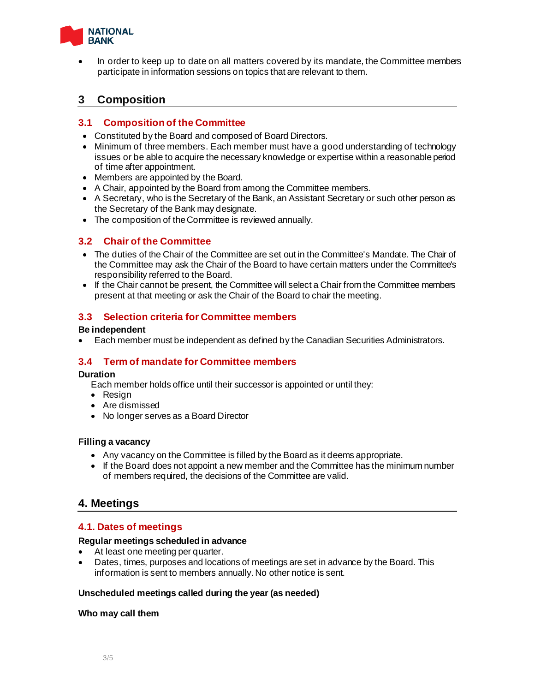

• In order to keep up to date on all matters covered by its mandate, the Committee members participate in information sessions on topics that are relevant to them.

## **3 Composition**

## **3.1 Composition of the Committee**

- Constituted by the Board and composed of Board Directors.
- Minimum of three members. Each member must have a good understanding of technology issues or be able to acquire the necessary knowledge or expertise within a reasonable period of time after appointment.
- Members are appointed by the Board.
- A Chair, appointed by the Board from among the Committee members.
- A Secretary, who is the Secretary of the Bank, an Assistant Secretary or such other person as the Secretary of the Bank may designate.
- The composition of the Committee is reviewed annually.

## **3.2 Chair of the Committee**

- The duties of the Chair of the Committee are set out in the Committee's Mandate. The Chair of the Committee may ask the Chair of the Board to have certain matters under the Committee's responsibility referred to the Board.
- If the Chair cannot be present, the Committee will select a Chair from the Committee members present at that meeting or ask the Chair of the Board to chair the meeting.

## **3.3 Selection criteria for Committee members**

### **Be independent**

• Each member must be independent as defined by the Canadian Securities Administrators.

## **3.4 Term of mandate for Committee members**

#### **Duration**

- Each member holds office until their successor is appointed or until they:
- Resign
- Are dismissed
- No longer serves as a Board Director

#### **Filling a vacancy**

- Any vacancy on the Committee is filled by the Board as it deems appropriate.
- If the Board does not appoint a new member and the Committee has the minimum number of members required, the decisions of the Committee are valid.

## **4. Meetings**

## **4.1. Dates of meetings**

#### **Regular meetings scheduled in advance**

- At least one meeting per quarter.
- Dates, times, purposes and locations of meetings are set in advance by the Board. This information is sent to members annually. No other notice is sent.

#### **Unscheduled meetings called during the year (as needed)**

#### **Who may call them**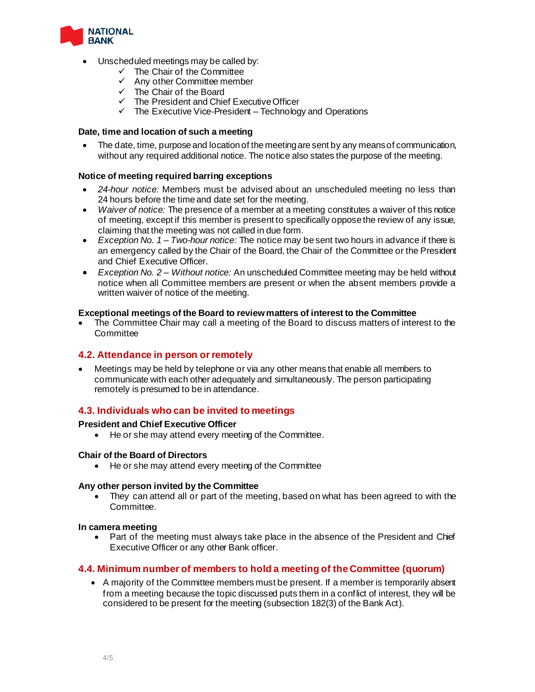

- Unscheduled meetings may be called by:
	- The Chair of the Committee
	- Any other Committee member
	- ✓ The Chair of the Board
	- $\checkmark$  The President and Chief Executive Officer
	- $\checkmark$  The Executive Vice-President Technology and Operations

#### **Date, time and location of such a meeting**

The date, time, purpose and location of the meeting are sent by any means of communication, without any required additional notice. The notice also states the purpose of the meeting.

### **Notice of meeting required barring exceptions**

- *24-hour notice:* Members must be advised about an unscheduled meeting no less than 24 hours before the time and date set for the meeting.
- *Waiver of notice:* The presence of a member at a meeting constitutes a waiver of this notice of meeting, except if this member is present to specifically oppose the review of any issue, claiming that the meeting was not called in due form.
- *Exception No. 1 – Two-hour notice:* The notice may be sent two hours in advance if there is an emergency called by the Chair of the Board, the Chair of the Committee or the President and Chief Executive Officer.
- *Exception No. 2 – Without notice:* An unscheduled Committee meeting may be held without notice when all Committee members are present or when the absent members provide a written waiver of notice of the meeting.

#### **Exceptional meetings of the Board to review matters of interest to the Committee**

• The Committee Chair may call a meeting of the Board to discuss matters of interest to the **Committee** 

#### **4.2. Attendance in person or remotely**

• Meetings may be held by telephone or via any other means that enable all members to communicate with each other adequately and simultaneously. The person participating remotely is presumed to be in attendance.

## **4.3. Individuals who can be invited to meetings**

#### **President and Chief Executive Officer**

• He or she may attend every meeting of the Committee.

#### **Chair of the Board of Directors**

• He or she may attend every meeting of the Committee

#### **Any other person invited by the Committee**

They can attend all or part of the meeting, based on what has been agreed to with the Committee.

#### **In camera meeting**

• Part of the meeting must always take place in the absence of the President and Chief Executive Officer or any other Bank officer.

#### **4.4. Minimum number of members to hold a meeting of the Committee (quorum)**

• A majority of the Committee members must be present. If a member is temporarily absent from a meeting because the topic discussed puts them in a conflict of interest, they will be considered to be present for the meeting (subsection 182(3) of the Bank Act).